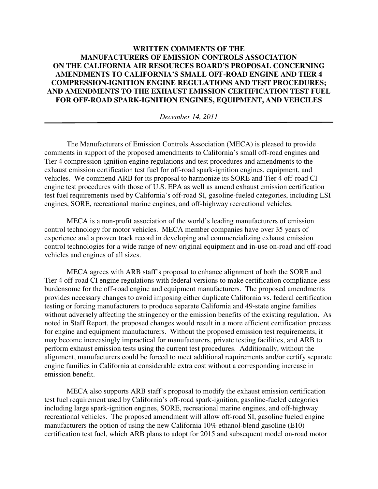## **WRITTEN COMMENTS OF THE MANUFACTURERS OF EMISSION CONTROLS ASSOCIATION ON THE CALIFORNIA AIR RESOURCES BOARD'S PROPOSAL CONCERNING AMENDMENTS TO CALIFORNIA'S SMALL OFF-ROAD ENGINE AND TIER 4 COMPRESSION-IGNITION ENGINE REGULATIONS AND TEST PROCEDURES; AND AMENDMENTS TO THE EXHAUST EMISSION CERTIFICATION TEST FUEL FOR OFF-ROAD SPARK-IGNITION ENGINES, EQUIPMENT, AND VEHCILES**

*December 14, 2011* 

The Manufacturers of Emission Controls Association (MECA) is pleased to provide comments in support of the proposed amendments to California's small off-road engines and Tier 4 compression-ignition engine regulations and test procedures and amendments to the exhaust emission certification test fuel for off-road spark-ignition engines, equipment, and vehicles. We commend ARB for its proposal to harmonize its SORE and Tier 4 off-road CI engine test procedures with those of U.S. EPA as well as amend exhaust emission certification test fuel requirements used by California's off-road SI, gasoline-fueled categories, including LSI engines, SORE, recreational marine engines, and off-highway recreational vehicles.

 MECA is a non-profit association of the world's leading manufacturers of emission control technology for motor vehicles. MECA member companies have over 35 years of experience and a proven track record in developing and commercializing exhaust emission control technologies for a wide range of new original equipment and in-use on-road and off-road vehicles and engines of all sizes.

MECA agrees with ARB staff's proposal to enhance alignment of both the SORE and Tier 4 off-road CI engine regulations with federal versions to make certification compliance less burdensome for the off-road engine and equipment manufacturers. The proposed amendments provides necessary changes to avoid imposing either duplicate California vs. federal certification testing or forcing manufacturers to produce separate California and 49-state engine families without adversely affecting the stringency or the emission benefits of the existing regulation. As noted in Staff Report, the proposed changes would result in a more efficient certification process for engine and equipment manufacturers. Without the proposed emission test requirements, it may become increasingly impractical for manufacturers, private testing facilities, and ARB to perform exhaust emission tests using the current test procedures. Additionally, without the alignment, manufacturers could be forced to meet additional requirements and/or certify separate engine families in California at considerable extra cost without a corresponding increase in emission benefit.

MECA also supports ARB staff's proposal to modify the exhaust emission certification test fuel requirement used by California's off-road spark-ignition, gasoline-fueled categories including large spark-ignition engines, SORE, recreational marine engines, and off-highway recreational vehicles. The proposed amendment will allow off-road SI, gasoline fueled engine manufacturers the option of using the new California 10% ethanol-blend gasoline (E10) certification test fuel, which ARB plans to adopt for 2015 and subsequent model on-road motor